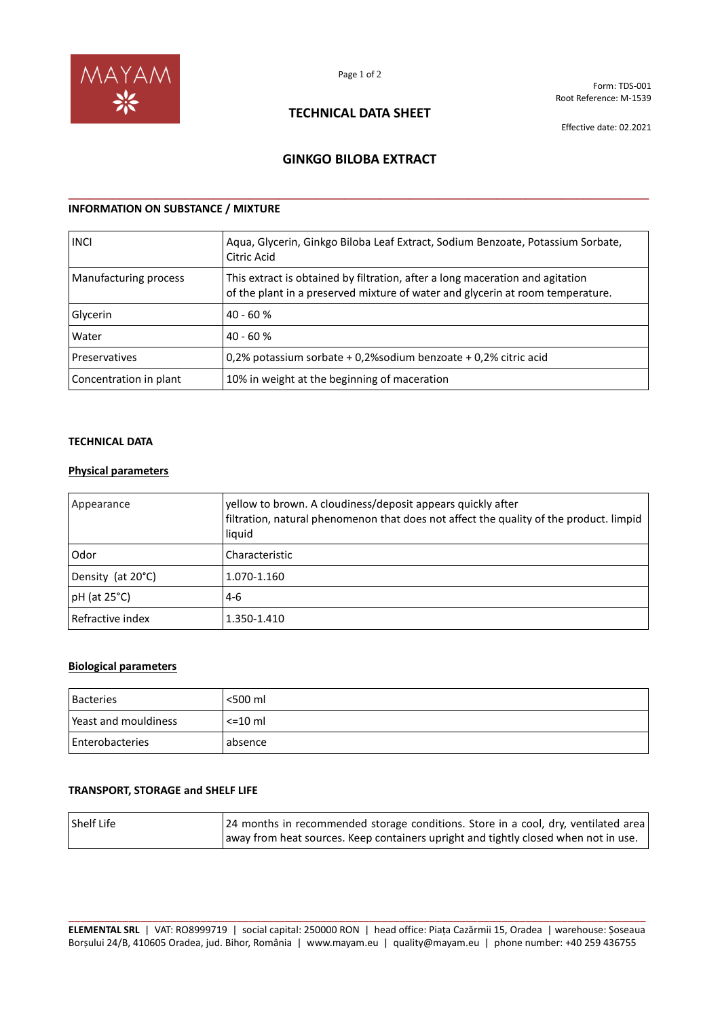

Form: TDS-001 Root Reference: M-1539

## **TECHNICAL DATA SHEET**

Effective date: 02.2021

## **GINKGO BILOBA EXTRACT**

**\_\_\_\_\_\_\_\_\_\_\_\_\_\_\_\_\_\_\_\_\_\_\_\_\_\_\_\_\_\_\_\_\_\_\_\_\_\_\_\_\_\_\_\_\_\_\_\_\_\_\_\_\_\_\_\_\_\_\_\_\_\_\_\_\_\_\_\_\_\_\_\_\_\_\_\_\_\_\_\_**

## **INFORMATION ON SUBSTANCE / MIXTURE**

| <b>INCI</b>            | Aqua, Glycerin, Ginkgo Biloba Leaf Extract, Sodium Benzoate, Potassium Sorbate,<br>Citric Acid                                                                  |
|------------------------|-----------------------------------------------------------------------------------------------------------------------------------------------------------------|
| Manufacturing process  | This extract is obtained by filtration, after a long maceration and agitation<br>of the plant in a preserved mixture of water and glycerin at room temperature. |
| Glycerin               | $40 - 60%$                                                                                                                                                      |
| Water                  | $40 - 60%$                                                                                                                                                      |
| Preservatives          | 0,2% potassium sorbate + 0,2% sodium benzoate + 0,2% citric acid                                                                                                |
| Concentration in plant | 10% in weight at the beginning of maceration                                                                                                                    |

#### **TECHNICAL DATA**

#### **Physical parameters**

| Appearance         | yellow to brown. A cloudiness/deposit appears quickly after<br>filtration, natural phenomenon that does not affect the quality of the product. limpid<br>liquid |
|--------------------|-----------------------------------------------------------------------------------------------------------------------------------------------------------------|
| Odor               | Characteristic                                                                                                                                                  |
| Density (at 20°C)  | 1.070-1.160                                                                                                                                                     |
| $pH$ (at 25 $°C$ ) | $4-6$                                                                                                                                                           |
| l Refractive index | 1.350-1.410                                                                                                                                                     |

#### **Biological parameters**

| <b>Bacteries</b>     | <500 ml      |
|----------------------|--------------|
| Yeast and mouldiness | $\leq$ 10 ml |
| Enterobacteries      | absence      |

#### **TRANSPORT, STORAGE and SHELF LIFE**

| Shelf Life | 24 months in recommended storage conditions. Store in a cool, dry, ventilated area  |
|------------|-------------------------------------------------------------------------------------|
|            | away from heat sources. Keep containers upright and tightly closed when not in use. |